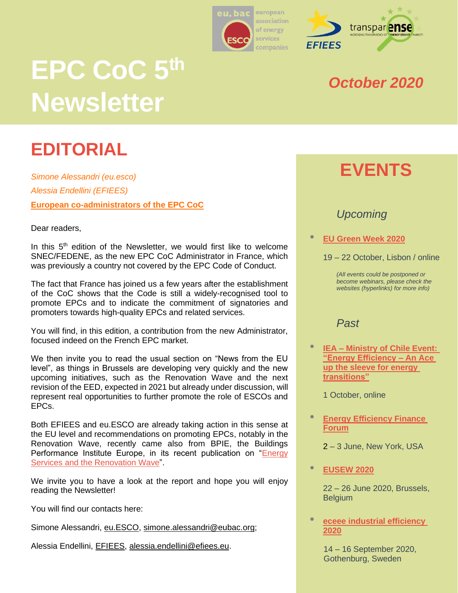



# **EPC CoC 5 th Newsletter**

# **EDITORIAL**

*Simone Alessandri (eu.esco) Alessia Endellini (EFIEES)* **European co-administrators of the EPC CoC**

Dear readers,

In this 5<sup>th</sup> edition of the Newsletter, we would first like to welcome SNEC/FEDENE, as the new EPC CoC Administrator in France, which was previously a country not covered by the EPC Code of Conduct.

The fact that France has joined us a few years after the establishment of the CoC shows that the Code is still a widely-recognised tool to promote EPCs and to indicate the commitment of signatories and promoters towards high-quality EPCs and related services.

You will find, in this edition, a contribution from the new Administrator, focused indeed on the French EPC market.

We then invite you to read the usual section on "News from the EU level", as things in Brussels are developing very quickly and the new upcoming initiatives, such as the Renovation Wave and the next revision of the EED, expected in 2021 but already under discussion, will represent real opportunities to further promote the role of ESCOs and EPCs.

Both EFIEES and eu.ESCO are already taking action in this sense at the EU level and recommendations on promoting EPCs, notably in the Renovation Wave, recently came also from BPIE, the Buildings Performance Institute Europe, in its recent publication on "Energy [Services and the Renovation Wave"](https://www.bpie.eu/publication/energy-services-and-the-renovation-wave/).

We invite you to have a look at the report and hope you will enjoy reading the Newsletter!

You will find our contacts here:

Simone Alessandri, [eu.ESCO,](https://euesco.org/home/home.html) simone.alessandri@eubac.org:

Alessia Endellini, [EFIEES,](http://www.efiees.eu/) [alessia.endellini@efiees.eu.](mailto:alessia.endellini@efiees.eu)

### *October 2020*

# **EVENTS**

#### *Upcoming*

• **[EU Green Week 2020](https://www.eugreenweek.eu/en)**

19 – 22 October, Lisbon / online

*(All events could be postponed or become webinars, please check the websites (hyperlinks) for more info)*

#### *Past*

• **IEA – [Ministry of Chile Event:](https://www.iea.org/events/energy-efficiency-an-ace-up-the-sleeve-for-energy-transitions)  ["Energy Efficiency –](https://www.iea.org/events/energy-efficiency-an-ace-up-the-sleeve-for-energy-transitions) An Ace [up the sleeve for energy](https://www.iea.org/events/energy-efficiency-an-ace-up-the-sleeve-for-energy-transitions)  [transitions"](https://www.iea.org/events/energy-efficiency-an-ace-up-the-sleeve-for-energy-transitions)**

1 October, online

- **[Energy Efficiency Finance](https://www.aceee.org/2020-energy-efficiency-finance-forum)  [Forum](https://www.aceee.org/2020-energy-efficiency-finance-forum)**
	- 2 3 June, New York, USA
- **[EUSEW 2020](https://eusew.eu/)**

22 – 26 June 2020, Brussels, **Belgium** 

• **[eceee industrial efficiency](https://www.eceee.org/industry/)  [2020](https://www.eceee.org/industry/)**

> 14 – 16 September 2020, Gothenburg, Sweden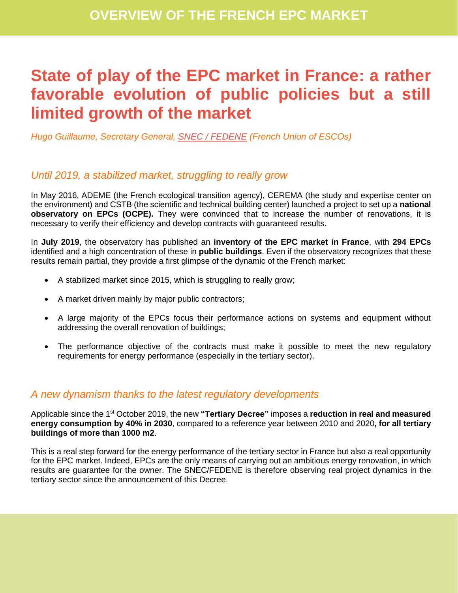## **State of play of the EPC market in France: a rather favorable evolution of public policies but a still limited growth of the market**

*Hugo Guillaume, Secretary General, SNEC [/ FEDENE](https://www.fedene.fr/les-syndicats/snec/) (French Union of ESCOs)* 

#### *Until 2019, a stabilized market, struggling to really grow*

In May 2016, ADEME (the French ecological transition agency), CEREMA (the study and expertise center on the environment) and CSTB (the scientific and technical building center) launched a project to set up a **national observatory on EPCs (OCPE).** They were convinced that to increase the number of renovations, it is necessary to verify their efficiency and develop contracts with guaranteed results.

In **July 2019**, the observatory has published an **inventory of the EPC market in France**, with **294 EPCs** identified and a high concentration of these in **public buildings**. Even if the observatory recognizes that these results remain partial, they provide a first glimpse of the dynamic of the French market:

- A stabilized market since 2015, which is struggling to really grow;
- A market driven mainly by major public contractors;
- A large majority of the EPCs focus their performance actions on systems and equipment without addressing the overall renovation of buildings;
- The performance objective of the contracts must make it possible to meet the new regulatory requirements for energy performance (especially in the tertiary sector).

#### *A new dynamism thanks to the latest regulatory developments*

Applicable since the 1st October 2019, the new **"Tertiary Decree"** imposes a **reduction in real and measured energy consumption by 40% in 2030**, compared to a reference year between 2010 and 2020**, for all tertiary buildings of more than 1000 m2**.

This is a real step forward for the energy performance of the tertiary sector in France but also a real opportunity for the EPC market. Indeed, EPCs are the only means of carrying out an ambitious energy renovation, in which results are guarantee for the owner. The SNEC/FEDENE is therefore observing real project dynamics in the tertiary sector since the announcement of this Decree.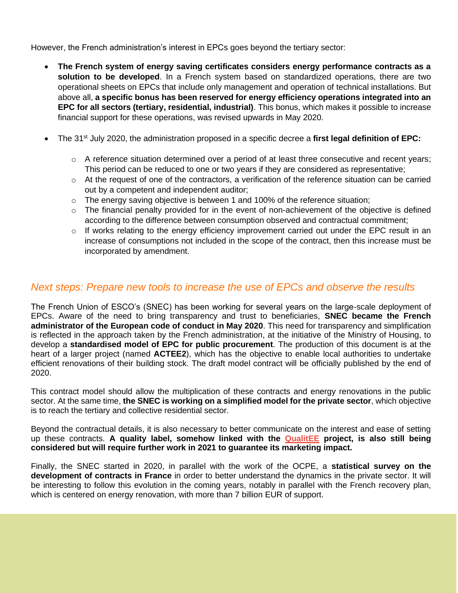However, the French administration's interest in EPCs goes beyond the tertiary sector:

- **The French system of energy saving certificates considers energy performance contracts as a solution to be developed**. In a French system based on standardized operations, there are two operational sheets on EPCs that include only management and operation of technical installations. But above all, **a specific bonus has been reserved for energy efficiency operations integrated into an EPC for all sectors (tertiary, residential, industrial)**. This bonus, which makes it possible to increase financial support for these operations, was revised upwards in May 2020.
- The 31<sup>st</sup> July 2020, the administration proposed in a specific decree a first legal definition of EPC:
	- $\circ$  A reference situation determined over a period of at least three consecutive and recent years; This period can be reduced to one or two years if they are considered as representative;
	- $\circ$  At the request of one of the contractors, a verification of the reference situation can be carried out by a competent and independent auditor;
	- $\circ$  The energy saving objective is between 1 and 100% of the reference situation;
	- o The financial penalty provided for in the event of non-achievement of the objective is defined according to the difference between consumption observed and contractual commitment;
	- o If works relating to the energy efficiency improvement carried out under the EPC result in an increase of consumptions not included in the scope of the contract, then this increase must be incorporated by amendment.

#### *Next steps: Prepare new tools to increase the use of EPCs and observe the results*

The French Union of ESCO's (SNEC) has been working for several years on the large-scale deployment of EPCs. Aware of the need to bring transparency and trust to beneficiaries, **SNEC became the French administrator of the European code of conduct in May 2020**. This need for transparency and simplification is reflected in the approach taken by the French administration, at the initiative of the Ministry of Housing, to develop a **standardised model of EPC for public procurement**. The production of this document is at the heart of a larger project (named **ACTEE2**), which has the objective to enable local authorities to undertake efficient renovations of their building stock. The draft model contract will be officially published by the end of 2020.

This contract model should allow the multiplication of these contracts and energy renovations in the public sector. At the same time, **the SNEC is working on a simplified model for the private sector**, which objective is to reach the tertiary and collective residential sector.

Beyond the contractual details, it is also necessary to better communicate on the interest and ease of setting up these contracts. **A quality label, somehow linked with the [QualitEE](https://qualitee.eu/) project, is also still being considered but will require further work in 2021 to guarantee its marketing impact.**

Finally, the SNEC started in 2020, in parallel with the work of the OCPE, a **statistical survey on the development of contracts in France** in order to better understand the dynamics in the private sector. It will be interesting to follow this evolution in the coming years, notably in parallel with the French recovery plan, which is centered on energy renovation, with more than 7 billion EUR of support.